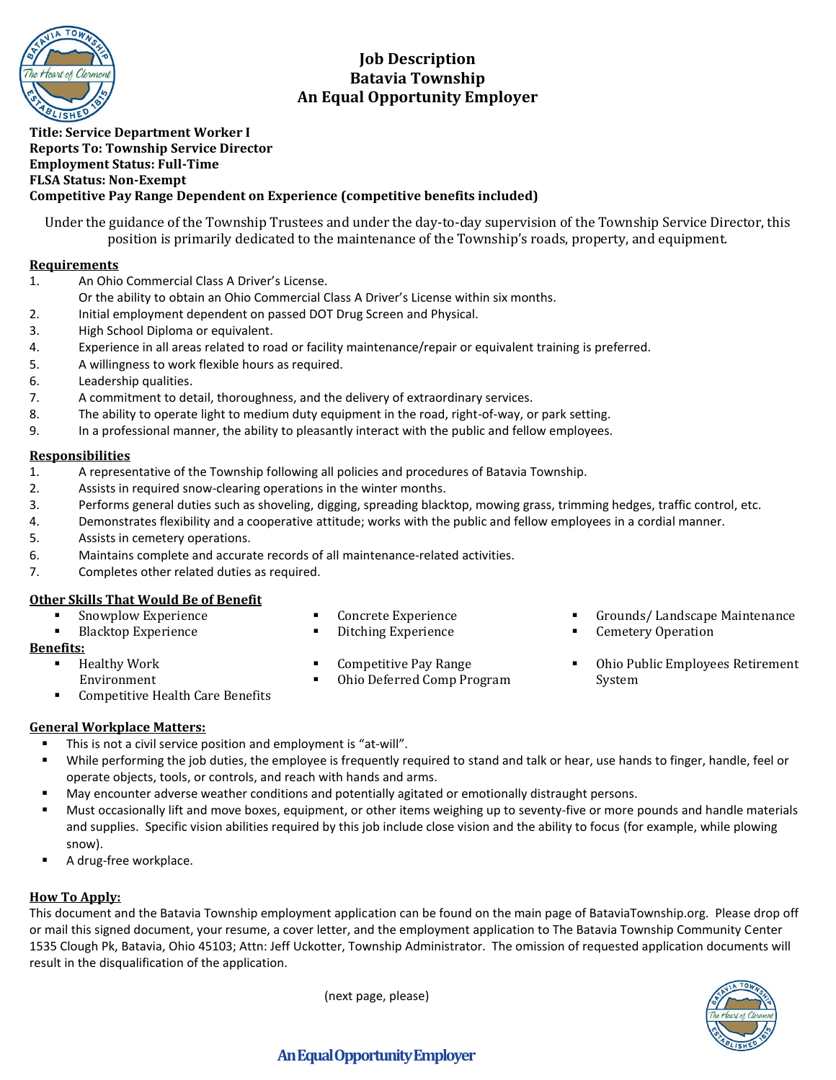

# **Job Description Batavia Township An Equal Opportunity Employer**

### **Title: Service Department Worker I Reports To: Township Service Director Employment Status: Full-Time FLSA Status: Non-Exempt Competitive Pay Range Dependent on Experience (competitive benefits included)**

Under the guidance of the Township Trustees and under the day-to-day supervision of the Township Service Director, this position is primarily dedicated to the maintenance of the Township's roads, property, and equipment.

### **Requirements**

- 1. An Ohio Commercial Class A Driver's License.
	- Or the ability to obtain an Ohio Commercial Class A Driver's License within six months.
- 2. Initial employment dependent on passed DOT Drug Screen and Physical.
- 3. High School Diploma or equivalent.
- 4. Experience in all areas related to road or facility maintenance/repair or equivalent training is preferred.
- 5. A willingness to work flexible hours as required.
- 6. Leadership qualities.
- 7. A commitment to detail, thoroughness, and the delivery of extraordinary services.
- 8. The ability to operate light to medium duty equipment in the road, right-of-way, or park setting.
- 9. In a professional manner, the ability to pleasantly interact with the public and fellow employees.

### **Responsibilities**

- 1. A representative of the Township following all policies and procedures of Batavia Township.
- 2. Assists in required snow-clearing operations in the winter months.
- 3. Performs general duties such as shoveling, digging, spreading blacktop, mowing grass, trimming hedges, traffic control, etc.
- 4. Demonstrates flexibility and a cooperative attitude; works with the public and fellow employees in a cordial manner.
- 5. Assists in cemetery operations.
- 6. Maintains complete and accurate records of all maintenance-related activities.
- 7. Completes other related duties as required.

## **Other Skills That Would Be of Benefit**

- Snowplow Experience
- Blacktop Experience
- Concrete Experience Ditching Experience

**Benefits:**

Competitive Pay Range ■ Ohio Deferred Comp Program

- Healthy Work
	- Environment
- Competitive Health Care Benefits
- **General Workplace Matters:**
	- This is not a civil service position and employment is "at-will".
	- While performing the job duties, the employee is frequently required to stand and talk or hear, use hands to finger, handle, feel or operate objects, tools, or controls, and reach with hands and arms.
	- May encounter adverse weather conditions and potentially agitated or emotionally distraught persons.
	- Must occasionally lift and move boxes, equipment, or other items weighing up to seventy-five or more pounds and handle materials and supplies. Specific vision abilities required by this job include close vision and the ability to focus (for example, while plowing snow).
	- A drug-free workplace.

## **How To Apply:**

This document and the Batavia Township employment application can be found on the main page of BataviaTownship.org. Please drop off or mail this signed document, your resume, a cover letter, and the employment application to The Batavia Township Community Center 1535 Clough Pk, Batavia, Ohio 45103; Attn: Jeff Uckotter, Township Administrator. The omission of requested application documents will result in the disqualification of the application.

(next page, please)

- Grounds/ Landscape Maintenance
- **Cemetery Operation**
- Ohio Public Employees Retirement System



# **An Equal Opportunity Employer**